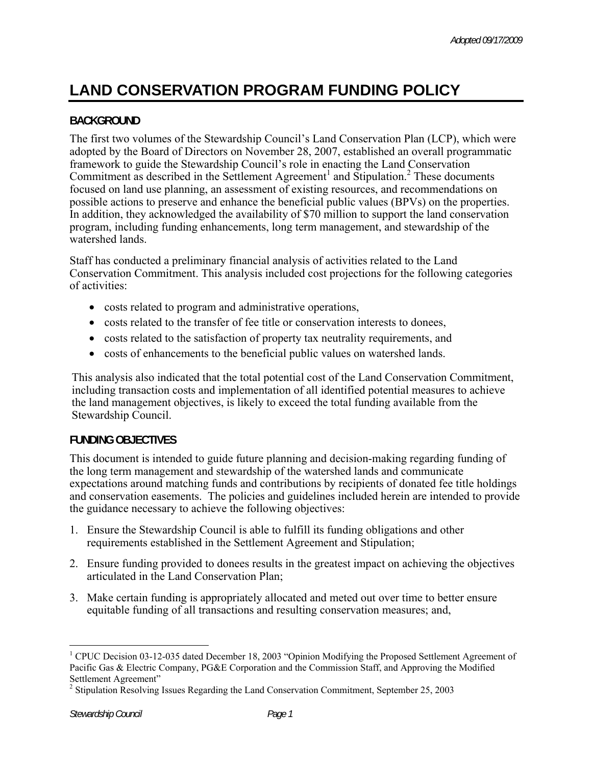# **LAND CONSERVATION PROGRAM FUNDING POLICY**

## **BACKGROUND**

The first two volumes of the Stewardship Council's Land Conservation Plan (LCP), which were adopted by the Board of Directors on November 28, 2007, established an overall programmatic framework to guide the Stewardship Council's role in enacting the Land Conservation Commitment as described in the Settlement Agreement<sup>1</sup> and Stipulation.<sup>2</sup> These documents focused on land use planning, an assessment of existing resources, and recommendations on possible actions to preserve and enhance the beneficial public values (BPVs) on the properties. In addition, they acknowledged the availability of \$70 million to support the land conservation program, including funding enhancements, long term management, and stewardship of the watershed lands.

Staff has conducted a preliminary financial analysis of activities related to the Land Conservation Commitment. This analysis included cost projections for the following categories of activities:

- costs related to program and administrative operations,
- costs related to the transfer of fee title or conservation interests to donees,
- costs related to the satisfaction of property tax neutrality requirements, and
- costs of enhancements to the beneficial public values on watershed lands.

This analysis also indicated that the total potential cost of the Land Conservation Commitment, including transaction costs and implementation of all identified potential measures to achieve the land management objectives, is likely to exceed the total funding available from the Stewardship Council.

## **FUNDING OBJECTIVES**

This document is intended to guide future planning and decision-making regarding funding of the long term management and stewardship of the watershed lands and communicate expectations around matching funds and contributions by recipients of donated fee title holdings and conservation easements. The policies and guidelines included herein are intended to provide the guidance necessary to achieve the following objectives:

- 1. Ensure the Stewardship Council is able to fulfill its funding obligations and other requirements established in the Settlement Agreement and Stipulation;
- 2. Ensure funding provided to donees results in the greatest impact on achieving the objectives articulated in the Land Conservation Plan;
- 3. Make certain funding is appropriately allocated and meted out over time to better ensure equitable funding of all transactions and resulting conservation measures; and,

<u>.</u>

<sup>&</sup>lt;sup>1</sup> CPUC Decision 03-12-035 dated December 18, 2003 "Opinion Modifying the Proposed Settlement Agreement of Pacific Gas & Electric Company, PG&E Corporation and the Commission Staff, and Approving the Modified Settlement Agreement"

<sup>&</sup>lt;sup>2</sup> Stipulation Resolving Issues Regarding the Land Conservation Commitment, September 25, 2003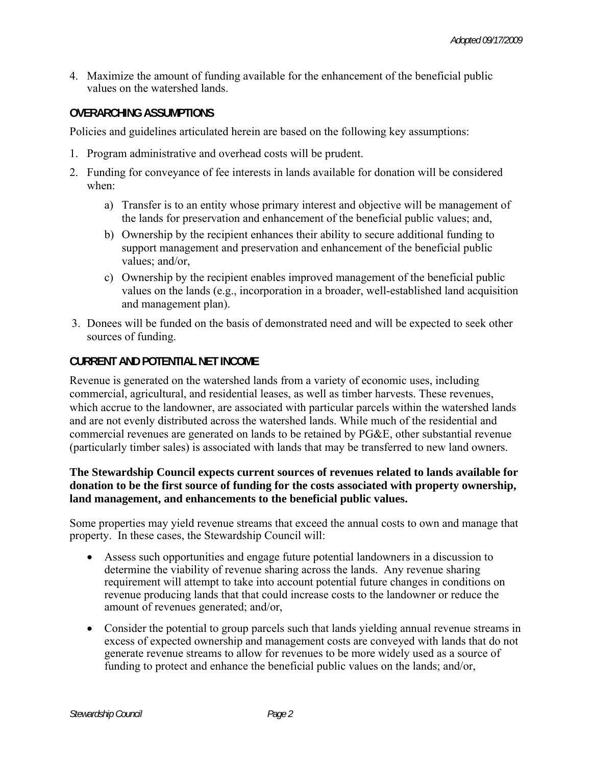4. Maximize the amount of funding available for the enhancement of the beneficial public values on the watershed lands.

## **OVERARCHING ASSUMPTIONS**

Policies and guidelines articulated herein are based on the following key assumptions:

- 1. Program administrative and overhead costs will be prudent.
- 2. Funding for conveyance of fee interests in lands available for donation will be considered when:
	- a) Transfer is to an entity whose primary interest and objective will be management of the lands for preservation and enhancement of the beneficial public values; and,
	- b) Ownership by the recipient enhances their ability to secure additional funding to support management and preservation and enhancement of the beneficial public values; and/or,
	- c) Ownership by the recipient enables improved management of the beneficial public values on the lands (e.g., incorporation in a broader, well-established land acquisition and management plan).
- 3. Donees will be funded on the basis of demonstrated need and will be expected to seek other sources of funding.

## **CURRENT AND POTENTIAL NET INCOME**

Revenue is generated on the watershed lands from a variety of economic uses, including commercial, agricultural, and residential leases, as well as timber harvests. These revenues, which accrue to the landowner, are associated with particular parcels within the watershed lands and are not evenly distributed across the watershed lands. While much of the residential and commercial revenues are generated on lands to be retained by PG&E, other substantial revenue (particularly timber sales) is associated with lands that may be transferred to new land owners.

## **The Stewardship Council expects current sources of revenues related to lands available for donation to be the first source of funding for the costs associated with property ownership, land management, and enhancements to the beneficial public values.**

Some properties may yield revenue streams that exceed the annual costs to own and manage that property. In these cases, the Stewardship Council will:

- Assess such opportunities and engage future potential landowners in a discussion to determine the viability of revenue sharing across the lands. Any revenue sharing requirement will attempt to take into account potential future changes in conditions on revenue producing lands that that could increase costs to the landowner or reduce the amount of revenues generated; and/or,
- Consider the potential to group parcels such that lands yielding annual revenue streams in excess of expected ownership and management costs are conveyed with lands that do not generate revenue streams to allow for revenues to be more widely used as a source of funding to protect and enhance the beneficial public values on the lands; and/or,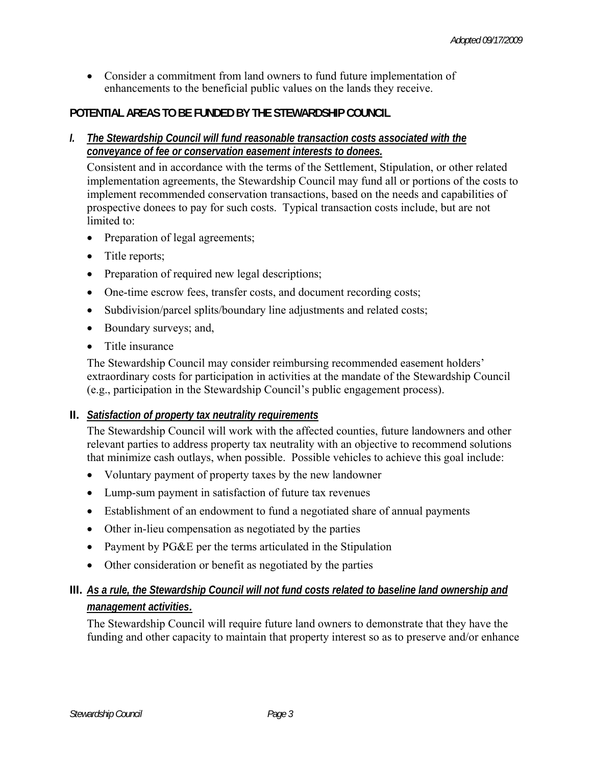• Consider a commitment from land owners to fund future implementation of enhancements to the beneficial public values on the lands they receive.

## **POTENTIAL AREAS TO BE FUNDED BY THE STEWARDSHIP COUNCIL**

*I. The Stewardship Council will fund reasonable transaction costs associated with the conveyance of fee or conservation easement interests to donees.* 

Consistent and in accordance with the terms of the Settlement, Stipulation, or other related implementation agreements, the Stewardship Council may fund all or portions of the costs to implement recommended conservation transactions, based on the needs and capabilities of prospective donees to pay for such costs. Typical transaction costs include, but are not limited to:

- Preparation of legal agreements;
- Title reports;
- Preparation of required new legal descriptions;
- One-time escrow fees, transfer costs, and document recording costs;
- Subdivision/parcel splits/boundary line adjustments and related costs;
- Boundary surveys; and,
- Title insurance

The Stewardship Council may consider reimbursing recommended easement holders' extraordinary costs for participation in activities at the mandate of the Stewardship Council (e.g., participation in the Stewardship Council's public engagement process).

## **II.** *Satisfaction of property tax neutrality requirements*

The Stewardship Council will work with the affected counties, future landowners and other relevant parties to address property tax neutrality with an objective to recommend solutions that minimize cash outlays, when possible. Possible vehicles to achieve this goal include:

- Voluntary payment of property taxes by the new landowner
- Lump-sum payment in satisfaction of future tax revenues
- Establishment of an endowment to fund a negotiated share of annual payments
- Other in-lieu compensation as negotiated by the parties
- Payment by PG&E per the terms articulated in the Stipulation
- Other consideration or benefit as negotiated by the parties

## **III.** *As a rule, the Stewardship Council will not fund costs related to baseline land ownership and management activities.*

The Stewardship Council will require future land owners to demonstrate that they have the funding and other capacity to maintain that property interest so as to preserve and/or enhance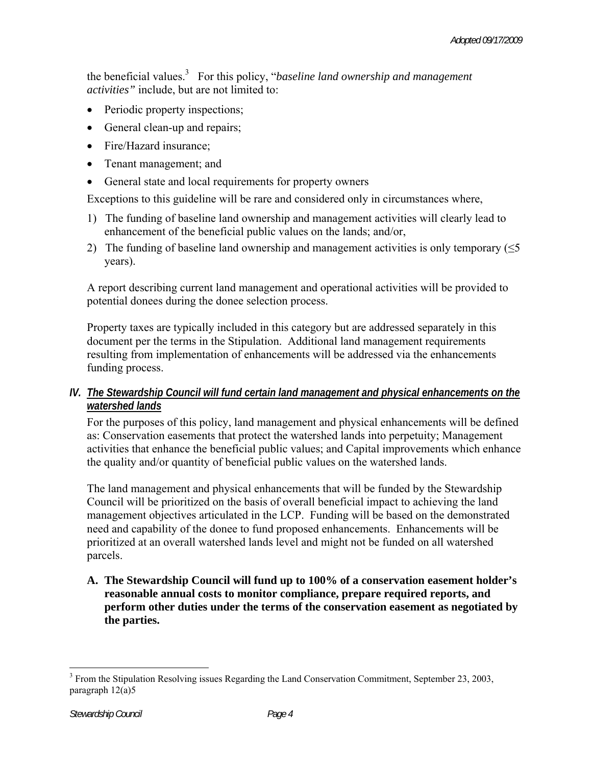the beneficial values.3 For this policy, "*baseline land ownership and management activities"* include, but are not limited to:

- Periodic property inspections;
- General clean-up and repairs;
- Fire/Hazard insurance:
- Tenant management; and
- General state and local requirements for property owners

Exceptions to this guideline will be rare and considered only in circumstances where,

- 1) The funding of baseline land ownership and management activities will clearly lead to enhancement of the beneficial public values on the lands; and/or,
- 2) The funding of baseline land ownership and management activities is only temporary  $(\leq 5)$ years).

A report describing current land management and operational activities will be provided to potential donees during the donee selection process.

Property taxes are typically included in this category but are addressed separately in this document per the terms in the Stipulation. Additional land management requirements resulting from implementation of enhancements will be addressed via the enhancements funding process.

## *IV. The Stewardship Council will fund certain land management and physical enhancements on the watershed lands*

For the purposes of this policy, land management and physical enhancements will be defined as: Conservation easements that protect the watershed lands into perpetuity; Management activities that enhance the beneficial public values; and Capital improvements which enhance the quality and/or quantity of beneficial public values on the watershed lands.

The land management and physical enhancements that will be funded by the Stewardship Council will be prioritized on the basis of overall beneficial impact to achieving the land management objectives articulated in the LCP. Funding will be based on the demonstrated need and capability of the donee to fund proposed enhancements. Enhancements will be prioritized at an overall watershed lands level and might not be funded on all watershed parcels.

**A. The Stewardship Council will fund up to 100% of a conservation easement holder's reasonable annual costs to monitor compliance, prepare required reports, and perform other duties under the terms of the conservation easement as negotiated by the parties.** 

1

<sup>&</sup>lt;sup>3</sup> From the Stipulation Resolving issues Regarding the Land Conservation Commitment, September 23, 2003, paragraph 12(a)5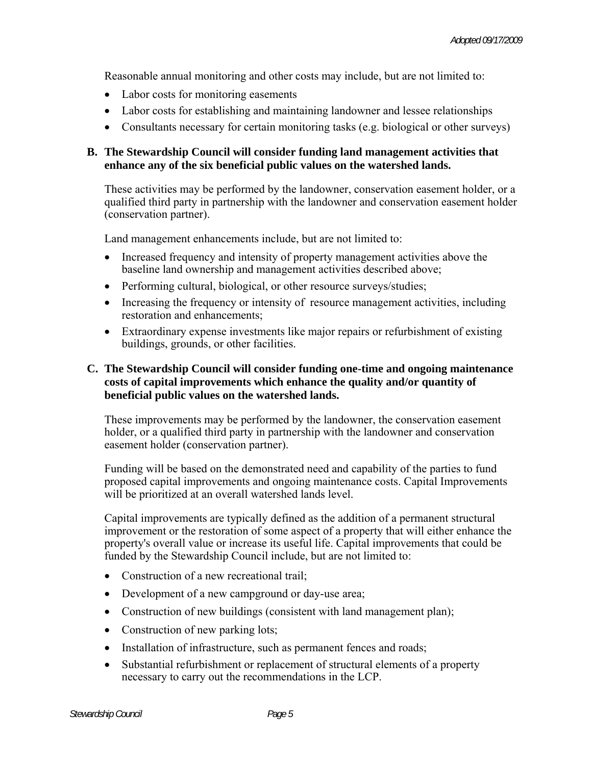Reasonable annual monitoring and other costs may include, but are not limited to:

- Labor costs for monitoring easements
- Labor costs for establishing and maintaining landowner and lessee relationships
- Consultants necessary for certain monitoring tasks (e.g. biological or other surveys)

#### **B. The Stewardship Council will consider funding land management activities that enhance any of the six beneficial public values on the watershed lands.**

These activities may be performed by the landowner, conservation easement holder, or a qualified third party in partnership with the landowner and conservation easement holder (conservation partner).

Land management enhancements include, but are not limited to:

- Increased frequency and intensity of property management activities above the baseline land ownership and management activities described above;
- Performing cultural, biological, or other resource surveys/studies;
- Increasing the frequency or intensity of resource management activities, including restoration and enhancements;
- Extraordinary expense investments like major repairs or refurbishment of existing buildings, grounds, or other facilities.

#### **C. The Stewardship Council will consider funding one-time and ongoing maintenance costs of capital improvements which enhance the quality and/or quantity of beneficial public values on the watershed lands.**

These improvements may be performed by the landowner, the conservation easement holder, or a qualified third party in partnership with the landowner and conservation easement holder (conservation partner).

Funding will be based on the demonstrated need and capability of the parties to fund proposed capital improvements and ongoing maintenance costs. Capital Improvements will be prioritized at an overall watershed lands level.

Capital improvements are typically defined as the addition of a permanent structural improvement or the restoration of some aspect of a property that will either enhance the property's overall value or increase its useful life. Capital improvements that could be funded by the Stewardship Council include, but are not limited to:

- Construction of a new recreational trail;
- Development of a new campground or day-use area;
- Construction of new buildings (consistent with land management plan);
- Construction of new parking lots;
- Installation of infrastructure, such as permanent fences and roads;
- Substantial refurbishment or replacement of structural elements of a property necessary to carry out the recommendations in the LCP.